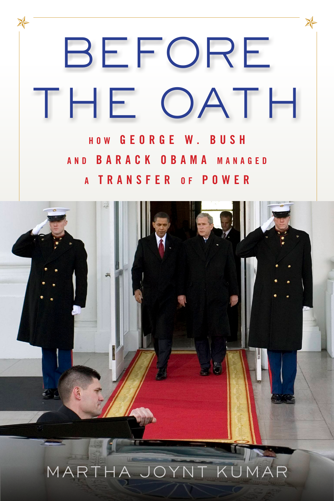# ✯ ✯ **HOW G E O R G E W . B U S H AND BARACK OBAMA MANAGED** BEFORE THE OATH

**A TRANSFER O F POWER**



## MARTHA JOYNT KUMAR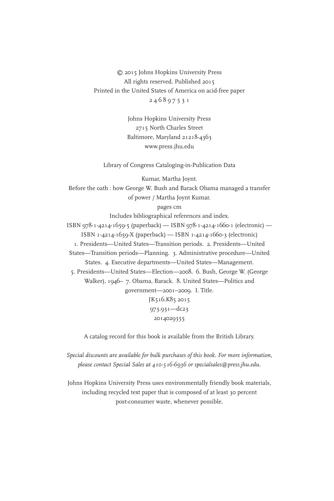© 2015 Johns Hopkins University Press All rights reserved. Published 2015 Printed in the United States of America on acid-free paper 2 4 6 8 9 7 5 3 1

> Johns Hopkins University Press 2715 North Charles Street Baltimore, Maryland 21218-4363 www.press.jhu.edu

Library of Congress Cataloging-in-Publication Data

Kumar, Martha Joynt.

Before the oath : how George W. Bush and Barack Obama managed a transfer of power / Martha Joynt Kumar.

pages cm

Includes bibliographical references and index.

ISBN 978-1-4214-1659-5 (paperback) — ISBN 978-1-4214-1660-1 (electronic) — ISBN 1-4214-1659-X (paperback) — ISBN 1-4214-1660-3 (electronic) 1. Presidents—United States—Transition periods. 2. Presidents—United States—Transition periods—Planning. 3. Administrative procedure—United States. 4. Executive departments—United States—Management. 5. Presidents—United States—Election—2008. 6. Bush, George W. (George Walker), 1946– 7. Obama, Barack. 8. United States—Politics and government—2001–2009. I. Title. JK516.K85 2015 973.931—dc23 2014029355

A catalog record for this book is available from the British Library.

*Special discounts are available for bulk purchases of this book. For more information, please contact Special Sales at 410-516-6936 or specialsales@press.jhu.edu.*

Johns Hopkins University Press uses environmentally friendly book materials, including recycled text paper that is composed of at least 30 percent post-consumer waste, whenever possible.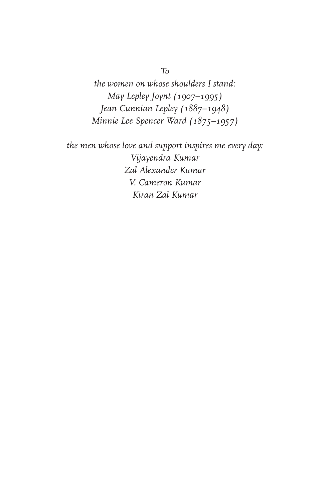*the women on whose shoulders I stand: May Lepley Joynt (1907–1995) Jean Cunnian Lepley (1887–1948) Minnie Lee Spencer Ward (1875–1957)*

*the men whose love and support inspires me every day: Vijayendra Kumar Zal Alexander Kumar V. Cameron Kumar Kiran Zal Kumar*

*To*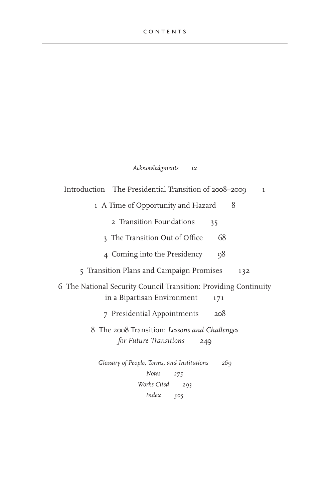#### *Acknowledgments ix*

Introduction The Presidential Transition of 2008–2009 1 1 A Time of Opportunity and Hazard 8 2 Transition Foundations 35 3 The Transition Out of Office 68 4 Coming into the Presidency 98 5 Transition Plans and Campaign Promises 132 6 The National Security Council Transition: Providing Continuity in a Bipartisan Environment 171 7 Presidential Appointments 208 8 The 2008 Transition: *Lessons and Challenges for Future Transitions* 249 *Glossary of People, Terms, and Institutions 269 Notes 275*

*Works Cited 293 Index 305*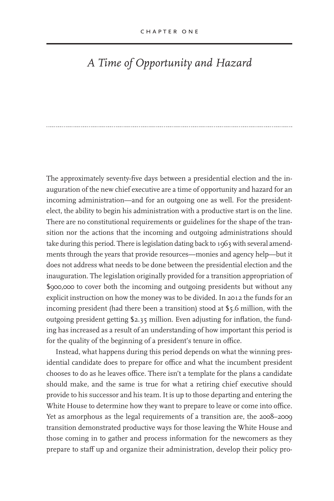### *A Time of Opportunity and Hazard*

The approximately seventy-five days between a presidential election and the inauguration of the new chief executive are a time of opportunity and hazard for an incoming administration—and for an outgoing one as well. For the presidentelect, the ability to begin his administration with a productive start is on the line. There are no constitutional requirements or guidelines for the shape of the transition nor the actions that the incoming and outgoing administrations should take during this period. There is legislation dating back to 1963 with several amendments through the years that provide resources—monies and agency help—but it does not address what needs to be done between the presidential election and the inauguration. The legislation originally provided for a transition appropriation of \$900,000 to cover both the incoming and outgoing presidents but without any explicit instruction on how the money was to be divided. In 2012 the funds for an incoming president (had there been a transition) stood at \$5.6 million, with the outgoing president getting \$2.35 million. Even adjusting for inflation, the funding has increased as a result of an understanding of how important this period is for the quality of the beginning of a president's tenure in office.

Instead, what happens during this period depends on what the winning presidential candidate does to prepare for office and what the incumbent president chooses to do as he leaves office. There isn't a template for the plans a candidate should make, and the same is true for what a retiring chief executive should provide to his successor and his team. It is up to those departing and entering the White House to determine how they want to prepare to leave or come into office. Yet as amorphous as the legal requirements of a transition are, the 2008–2009 transition demonstrated productive ways for those leaving the White House and those coming in to gather and process information for the newcomers as they prepare to staff up and organize their administration, develop their policy pro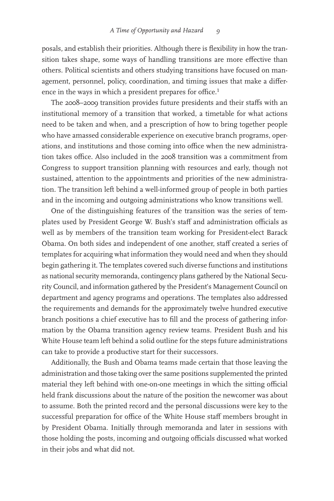posals, and establish their priorities. Although there is flexibility in how the transition takes shape, some ways of handling transitions are more effective than others. Political scientists and others studying transitions have focused on management, personnel, policy, coordination, and timing issues that make a difference in the ways in which a president prepares for office.<sup>1</sup>

The 2008–2009 transition provides future presidents and their staffs with an institutional memory of a transition that worked, a timetable for what actions need to be taken and when, and a prescription of how to bring together people who have amassed considerable experience on executive branch programs, operations, and institutions and those coming into office when the new administration takes office. Also included in the 2008 transition was a commitment from Congress to support transition planning with resources and early, though not sustained, attention to the appointments and priorities of the new administration. The transition left behind a well-informed group of people in both parties and in the incoming and outgoing administrations who know transitions well.

One of the distinguishing features of the transition was the series of templates used by President George W. Bush's staff and administration officials as well as by members of the transition team working for President-elect Barack Obama. On both sides and independent of one another, staff created a series of templates for acquiring what information they would need and when they should begin gathering it. The templates covered such diverse functions and institutions as national security memoranda, contingency plans gathered by the National Security Council, and information gathered by the President's Management Council on department and agency programs and operations. The templates also addressed the requirements and demands for the approximately twelve hundred executive branch positions a chief executive has to fill and the process of gathering information by the Obama transition agency review teams. President Bush and his White House team left behind a solid outline for the steps future administrations can take to provide a productive start for their successors.

Additionally, the Bush and Obama teams made certain that those leaving the administration and those taking over the same positions supplemented the printed material they left behind with one-on-one meetings in which the sitting official held frank discussions about the nature of the position the newcomer was about to assume. Both the printed record and the personal discussions were key to the successful preparation for office of the White House staff members brought in by President Obama. Initially through memoranda and later in sessions with those holding the posts, incoming and outgoing officials discussed what worked in their jobs and what did not.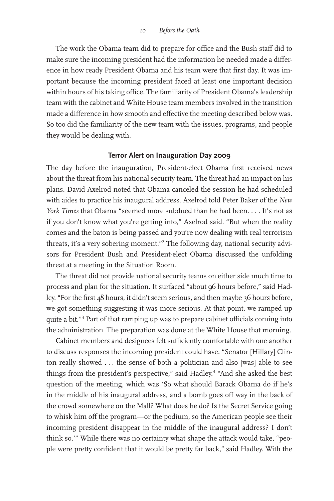The work the Obama team did to prepare for office and the Bush staff did to make sure the incoming president had the information he needed made a difference in how ready President Obama and his team were that first day. It was important because the incoming president faced at least one important decision within hours of his taking office. The familiarity of President Obama's leadership team with the cabinet and White House team members involved in the transition made a difference in how smooth and effective the meeting described below was. So too did the familiarity of the new team with the issues, programs, and people they would be dealing with.

#### **Terror Alert on Inauguration Day 2009**

The day before the inauguration, President-elect Obama first received news about the threat from his national security team. The threat had an impact on his plans. David Axelrod noted that Obama canceled the session he had scheduled with aides to practice his inaugural address. Axelrod told Peter Baker of the *New York Times* that Obama "seemed more subdued than he had been. . . . It's not as if you don't know what you're getting into," Axelrod said. "But when the reality comes and the baton is being passed and you're now dealing with real terrorism threats, it's a very sobering moment."<sup>2</sup> The following day, national security advisors for President Bush and President-elect Obama discussed the unfolding threat at a meeting in the Situation Room.

The threat did not provide national security teams on either side much time to process and plan for the situation. It surfaced "about 96 hours before," said Hadley. "For the first 48 hours, it didn't seem serious, and then maybe 36 hours before, we got something suggesting it was more serious. At that point, we ramped up quite a bit."3 Part of that ramping up was to prepare cabinet officials coming into the administration. The preparation was done at the White House that morning.

Cabinet members and designees felt sufficiently comfortable with one another to discuss responses the incoming president could have. "Senator [Hillary] Clinton really showed . . . the sense of both a politician and also [was] able to see things from the president's perspective," said Hadley.<sup>4</sup> "And she asked the best question of the meeting, which was 'So what should Barack Obama do if he's in the middle of his inaugural address, and a bomb goes off way in the back of the crowd somewhere on the Mall? What does he do? Is the Secret Service going to whisk him off the program—or the podium, so the American people see their incoming president disappear in the middle of the inaugural address? I don't think so.'" While there was no certainty what shape the attack would take, "people were pretty confident that it would be pretty far back," said Hadley. With the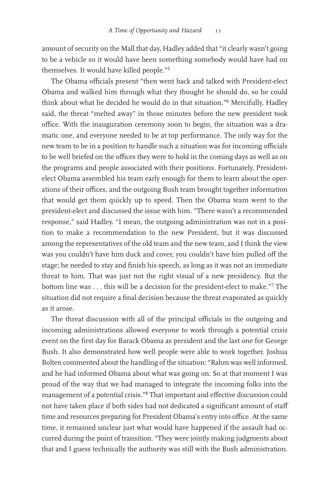amount of security on the Mall that day, Hadley added that "it clearly wasn't going to be a vehicle so it would have been something somebody would have had on themselves. It would have killed people."5

The Obama officials present "then went back and talked with President-elect Obama and walked him through what they thought he should do, so he could think about what he decided he would do in that situation."6 Mercifully, Hadley said, the threat "melted away" in those minutes before the new president took office. With the inauguration ceremony soon to begin, the situation was a dramatic one, and everyone needed to be at top performance. The only way for the new team to be in a position to handle such a situation was for incoming officials to be well briefed on the offices they were to hold in the coming days as well as on the programs and people associated with their positions. Fortunately, Presidentelect Obama assembled his team early enough for them to learn about the operations of their offices, and the outgoing Bush team brought together information that would get them quickly up to speed. Then the Obama team went to the president-elect and discussed the issue with him. "There wasn't a recommended response," said Hadley. "I mean, the outgoing administration was not in a position to make a recommendation to the new President, but it was discussed among the representatives of the old team and the new team, and I think the view was you couldn't have him duck and cover, you couldn't have him pulled off the stage; he needed to stay and finish his speech, as long as it was not an immediate threat to him. That was just not the right visual of a new presidency. But the bottom line was . . . this will be a decision for the president-elect to make."7 The situation did not require a final decision because the threat evaporated as quickly as it arose.

The threat discussion with all of the principal officials in the outgoing and incoming administrations allowed everyone to work through a potential crisis event on the first day for Barack Obama as president and the last one for George Bush. It also demonstrated how well people were able to work together. Joshua Bolten commented about the handling of the situation: "Rahm was well informed, and he had informed Obama about what was going on. So at that moment I was proud of the way that we had managed to integrate the incoming folks into the management of a potential crisis."8 That important and effective discussion could not have taken place if both sides had not dedicated a significant amount of staff time and resources preparing for President Obama's entry into office. At the same time, it remained unclear just what would have happened if the assault had occurred during the point of transition. "They were jointly making judgments about that and I guess technically the authority was still with the Bush administration.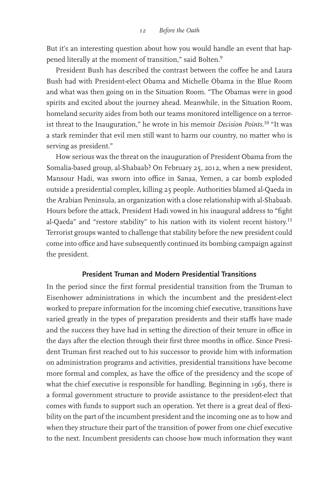But it's an interesting question about how you would handle an event that happened literally at the moment of transition," said Bolten.<sup>9</sup>

President Bush has described the contrast between the coffee he and Laura Bush had with President-elect Obama and Michelle Obama in the Blue Room and what was then going on in the Situation Room. "The Obamas were in good spirits and excited about the journey ahead. Meanwhile, in the Situation Room, homeland security aides from both our teams monitored intelligence on a terrorist threat to the Inauguration," he wrote in his memoir *Decision Points*. 10 "It was a stark reminder that evil men still want to harm our country, no matter who is serving as president."

How serious was the threat on the inauguration of President Obama from the Somalia-based group, al-Shabaab? On February 25, 2012, when a new president, Mansour Hadi, was sworn into office in Sanaa, Yemen, a car bomb exploded outside a presidential complex, killing 25 people. Authorities blamed al-Qaeda in the Arabian Peninsula, an organization with a close relationship with al-Shabaab. Hours before the attack, President Hadi vowed in his inaugural address to "fight al-Qaeda" and "restore stability" to his nation with its violent recent history.<sup>11</sup> Terrorist groups wanted to challenge that stability before the new president could come into office and have subsequently continued its bombing campaign against the president.

#### **President Truman and Modern Presidential Transitions**

In the period since the first formal presidential transition from the Truman to Eisenhower administrations in which the incumbent and the president-elect worked to prepare information for the incoming chief executive, transitions have varied greatly in the types of preparation presidents and their staffs have made and the success they have had in setting the direction of their tenure in office in the days after the election through their first three months in office. Since President Truman first reached out to his successor to provide him with information on administration programs and activities, presidential transitions have become more formal and complex, as have the office of the presidency and the scope of what the chief executive is responsible for handling. Beginning in 1963, there is a formal government structure to provide assistance to the president-elect that comes with funds to support such an operation. Yet there is a great deal of flexibility on the part of the incumbent president and the incoming one as to how and when they structure their part of the transition of power from one chief executive to the next. Incumbent presidents can choose how much information they want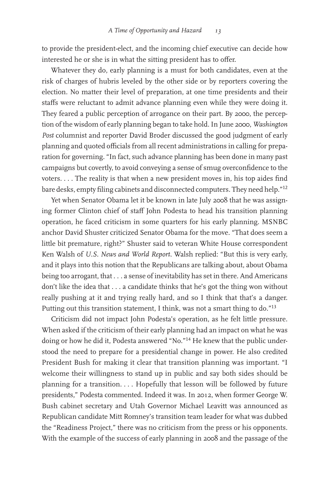to provide the president-elect, and the incoming chief executive can decide how interested he or she is in what the sitting president has to offer.

Whatever they do, early planning is a must for both candidates, even at the risk of charges of hubris leveled by the other side or by reporters covering the election. No matter their level of preparation, at one time presidents and their staffs were reluctant to admit advance planning even while they were doing it. They feared a public perception of arrogance on their part. By 2000, the perception of the wisdom of early planning began to take hold. In June 2000, *Washington Post* columnist and reporter David Broder discussed the good judgment of early planning and quoted officials from all recent administrations in calling for preparation for governing. "In fact, such advance planning has been done in many past campaigns but covertly, to avoid conveying a sense of smug overconfidence to the voters. . . . The reality is that when a new president moves in, his top aides find bare desks, empty filing cabinets and disconnected computers. They need help."12

Yet when Senator Obama let it be known in late July 2008 that he was assigning former Clinton chief of staff John Podesta to head his transition planning operation, he faced criticism in some quarters for his early planning. MSNBC anchor David Shuster criticized Senator Obama for the move. "That does seem a little bit premature, right?" Shuster said to veteran White House correspondent Ken Walsh of *U.S. News and World Report*. Walsh replied: "But this is very early, and it plays into this notion that the Republicans are talking about, about Obama being too arrogant, that . . . a sense of inevitability has set in there. And Americans don't like the idea that . . . a candidate thinks that he's got the thing won without really pushing at it and trying really hard, and so I think that that's a danger. Putting out this transition statement, I think, was not a smart thing to do."13

Criticism did not impact John Podesta's operation, as he felt little pressure. When asked if the criticism of their early planning had an impact on what he was doing or how he did it, Podesta answered "No."<sup>14</sup> He knew that the public understood the need to prepare for a presidential change in power. He also credited President Bush for making it clear that transition planning was important. "I welcome their willingness to stand up in public and say both sides should be planning for a transition. . . . Hopefully that lesson will be followed by future presidents," Podesta commented. Indeed it was. In 2012, when former George W. Bush cabinet secretary and Utah Governor Michael Leavitt was announced as Republican candidate Mitt Romney's transition team leader for what was dubbed the "Readiness Project," there was no criticism from the press or his opponents. With the example of the success of early planning in 2008 and the passage of the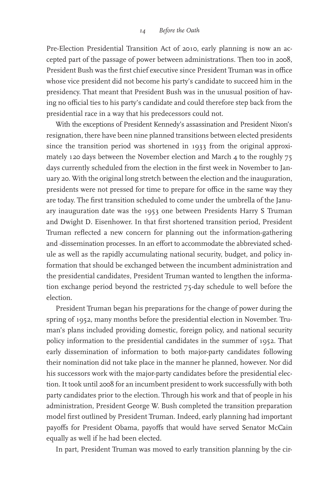Pre-Election Presidential Transition Act of 2010, early planning is now an accepted part of the passage of power between administrations. Then too in 2008, President Bush was the first chief executive since President Truman was in office whose vice president did not become his party's candidate to succeed him in the presidency. That meant that President Bush was in the unusual position of having no official ties to his party's candidate and could therefore step back from the presidential race in a way that his predecessors could not.

With the exceptions of President Kennedy's assassination and President Nixon's resignation, there have been nine planned transitions between elected presidents since the transition period was shortened in 1933 from the original approximately 120 days between the November election and March 4 to the roughly 75 days currently scheduled from the election in the first week in November to January 20. With the original long stretch between the election and the inauguration, presidents were not pressed for time to prepare for office in the same way they are today. The first transition scheduled to come under the umbrella of the January inauguration date was the 1953 one between Presidents Harry S Truman and Dwight D. Eisenhower. In that first shortened transition period, President Truman reflected a new concern for planning out the information-gathering and -dissemination processes. In an effort to accommodate the abbreviated schedule as well as the rapidly accumulating national security, budget, and policy information that should be exchanged between the incumbent administration and the presidential candidates, President Truman wanted to lengthen the information exchange period beyond the restricted 75-day schedule to well before the election.

President Truman began his preparations for the change of power during the spring of 1952, many months before the presidential election in November. Truman's plans included providing domestic, foreign policy, and national security policy information to the presidential candidates in the summer of 1952. That early dissemination of information to both major-party candidates following their nomination did not take place in the manner he planned, however. Nor did his successors work with the major-party candidates before the presidential election. It took until 2008 for an incumbent president to work successfully with both party candidates prior to the election. Through his work and that of people in his administration, President George W. Bush completed the transition preparation model first outlined by President Truman. Indeed, early planning had important payoffs for President Obama, payoffs that would have served Senator McCain equally as well if he had been elected.

In part, President Truman was moved to early transition planning by the cir-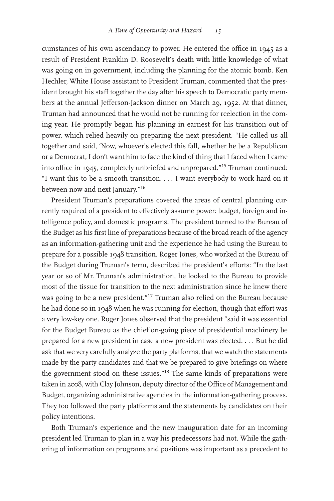cumstances of his own ascendancy to power. He entered the office in 1945 as a result of President Franklin D. Roosevelt's death with little knowledge of what was going on in government, including the planning for the atomic bomb. Ken Hechler, White House assistant to President Truman, commented that the president brought his staff together the day after his speech to Democratic party members at the annual Jefferson-Jackson dinner on March 29, 1952. At that dinner, Truman had announced that he would not be running for reelection in the coming year. He promptly began his planning in earnest for his transition out of power, which relied heavily on preparing the next president. "He called us all together and said, 'Now, whoever's elected this fall, whether he be a Republican or a Democrat, I don't want him to face the kind of thing that I faced when I came into office in 1945, completely unbriefed and unprepared."15 Truman continued: "I want this to be a smooth transition. . . . I want everybody to work hard on it between now and next January."16

President Truman's preparations covered the areas of central planning currently required of a president to effectively assume power: budget, foreign and intelligence policy, and domestic programs. The president turned to the Bureau of the Budget as his first line of preparations because of the broad reach of the agency as an information-gathering unit and the experience he had using the Bureau to prepare for a possible 1948 transition. Roger Jones, who worked at the Bureau of the Budget during Truman's term, described the president's efforts: "In the last year or so of Mr. Truman's administration, he looked to the Bureau to provide most of the tissue for transition to the next administration since he knew there was going to be a new president."17 Truman also relied on the Bureau because he had done so in 1948 when he was running for election, though that effort was a very low-key one. Roger Jones observed that the president "said it was essential for the Budget Bureau as the chief on-going piece of presidential machinery be prepared for a new president in case a new president was elected. . . . But he did ask that we very carefully analyze the party platforms, that we watch the statements made by the party candidates and that we be prepared to give briefings on where the government stood on these issues."18 The same kinds of preparations were taken in 2008, with Clay Johnson, deputy director of the Office of Management and Budget, organizing administrative agencies in the information-gathering process. They too followed the party platforms and the statements by candidates on their policy intentions.

Both Truman's experience and the new inauguration date for an incoming president led Truman to plan in a way his predecessors had not. While the gathering of information on programs and positions was important as a precedent to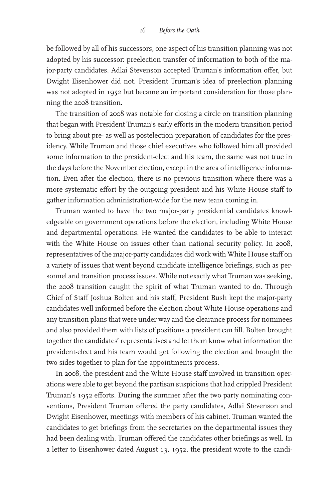be followed by all of his successors, one aspect of his transition planning was not adopted by his successor: preelection transfer of information to both of the major-party candidates. Adlai Stevenson accepted Truman's information offer, but Dwight Eisenhower did not. President Truman's idea of preelection planning was not adopted in 1952 but became an important consideration for those planning the 2008 transition.

The transition of 2008 was notable for closing a circle on transition planning that began with President Truman's early efforts in the modern transition period to bring about pre- as well as postelection preparation of candidates for the presidency. While Truman and those chief executives who followed him all provided some information to the president-elect and his team, the same was not true in the days before the November election, except in the area of intelligence information. Even after the election, there is no previous transition where there was a more systematic effort by the outgoing president and his White House staff to gather information administration-wide for the new team coming in.

Truman wanted to have the two major-party presidential candidates knowledgeable on government operations before the election, including White House and departmental operations. He wanted the candidates to be able to interact with the White House on issues other than national security policy. In 2008, representatives of the major-party candidates did work with White House staff on a variety of issues that went beyond candidate intelligence briefings, such as personnel and transition process issues. While not exactly what Truman was seeking, the 2008 transition caught the spirit of what Truman wanted to do. Through Chief of Staff Joshua Bolten and his staff, President Bush kept the major-party candidates well informed before the election about White House operations and any transition plans that were under way and the clearance process for nominees and also provided them with lists of positions a president can fill. Bolten brought together the candidates' representatives and let them know what information the president-elect and his team would get following the election and brought the two sides together to plan for the appointments process.

In 2008, the president and the White House staff involved in transition operations were able to get beyond the partisan suspicions that had crippled President Truman's 1952 efforts. During the summer after the two party nominating conventions, President Truman offered the party candidates, Adlai Stevenson and Dwight Eisenhower, meetings with members of his cabinet. Truman wanted the candidates to get briefings from the secretaries on the departmental issues they had been dealing with. Truman offered the candidates other briefings as well. In a letter to Eisenhower dated August 13, 1952, the president wrote to the candi-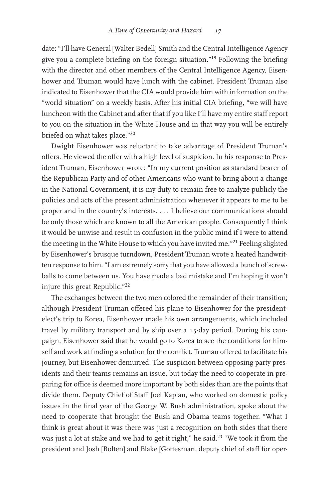date: "I'll have General [Walter Bedell] Smith and the Central Intelligence Agency give you a complete briefing on the foreign situation."19 Following the briefing with the director and other members of the Central Intelligence Agency, Eisenhower and Truman would have lunch with the cabinet. President Truman also indicated to Eisenhower that the CIA would provide him with information on the "world situation" on a weekly basis. After his initial CIA briefing, "we will have luncheon with the Cabinet and after that if you like I'll have my entire staff report to you on the situation in the White House and in that way you will be entirely briefed on what takes place."20

Dwight Eisenhower was reluctant to take advantage of President Truman's offers. He viewed the offer with a high level of suspicion. In his response to President Truman, Eisenhower wrote: "In my current position as standard bearer of the Republican Party and of other Americans who want to bring about a change in the National Government, it is my duty to remain free to analyze publicly the policies and acts of the present administration whenever it appears to me to be proper and in the country's interests. . . . I believe our communications should be only those which are known to all the American people. Consequently I think it would be unwise and result in confusion in the public mind if I were to attend the meeting in the White House to which you have invited me."<sup>21</sup> Feeling slighted by Eisenhower's brusque turndown, President Truman wrote a heated handwritten response to him. "I am extremely sorry that you have allowed a bunch of screwballs to come between us. You have made a bad mistake and I'm hoping it won't injure this great Republic."22

The exchanges between the two men colored the remainder of their transition; although President Truman offered his plane to Eisenhower for the presidentelect's trip to Korea, Eisenhower made his own arrangements, which included travel by military transport and by ship over a 15-day period. During his campaign, Eisenhower said that he would go to Korea to see the conditions for himself and work at finding a solution for the conflict. Truman offered to facilitate his journey, but Eisenhower demurred. The suspicion between opposing party presidents and their teams remains an issue, but today the need to cooperate in preparing for office is deemed more important by both sides than are the points that divide them. Deputy Chief of Staff Joel Kaplan, who worked on domestic policy issues in the final year of the George W. Bush administration, spoke about the need to cooperate that brought the Bush and Obama teams together. "What I think is great about it was there was just a recognition on both sides that there was just a lot at stake and we had to get it right," he said.<sup>23</sup> "We took it from the president and Josh [Bolten] and Blake [Gottesman, deputy chief of staff for oper-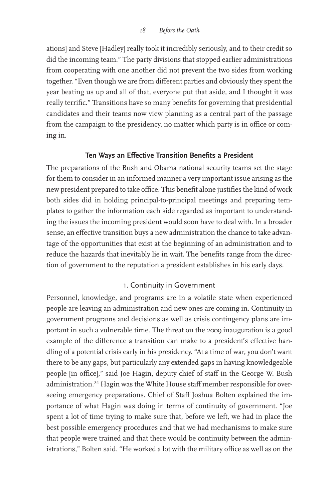ations] and Steve [Hadley] really took it incredibly seriously, and to their credit so did the incoming team." The party divisions that stopped earlier administrations from cooperating with one another did not prevent the two sides from working together. "Even though we are from different parties and obviously they spent the year beating us up and all of that, everyone put that aside, and I thought it was really terrific." Transitions have so many benefits for governing that presidential candidates and their teams now view planning as a central part of the passage from the campaign to the presidency, no matter which party is in office or coming in.

#### **Ten Ways an Effective Transition Benefits a President**

The preparations of the Bush and Obama national security teams set the stage for them to consider in an informed manner a very important issue arising as the new president prepared to take office. This benefit alone justifies the kind of work both sides did in holding principal-to-principal meetings and preparing templates to gather the information each side regarded as important to understanding the issues the incoming president would soon have to deal with. In a broader sense, an effective transition buys a new administration the chance to take advantage of the opportunities that exist at the beginning of an administration and to reduce the hazards that inevitably lie in wait. The benefits range from the direction of government to the reputation a president establishes in his early days.

#### 1. Continuity in Government

Personnel, knowledge, and programs are in a volatile state when experienced people are leaving an administration and new ones are coming in. Continuity in government programs and decisions as well as crisis contingency plans are important in such a vulnerable time. The threat on the 2009 inauguration is a good example of the difference a transition can make to a president's effective handling of a potential crisis early in his presidency. "At a time of war, you don't want there to be any gaps, but particularly any extended gaps in having knowledgeable people [in office]," said Joe Hagin, deputy chief of staff in the George W. Bush administration.<sup>24</sup> Hagin was the White House staff member responsible for overseeing emergency preparations. Chief of Staff Joshua Bolten explained the importance of what Hagin was doing in terms of continuity of government. "Joe spent a lot of time trying to make sure that, before we left, we had in place the best possible emergency procedures and that we had mechanisms to make sure that people were trained and that there would be continuity between the administrations," Bolten said. "He worked a lot with the military office as well as on the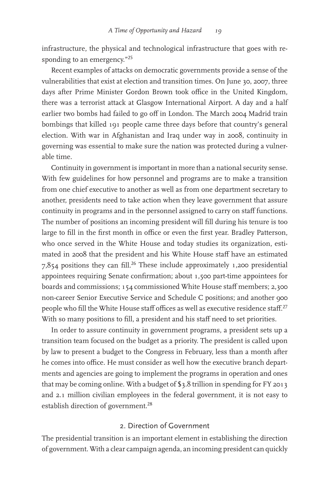infrastructure, the physical and technological infrastructure that goes with responding to an emergency."<sup>25</sup>

Recent examples of attacks on democratic governments provide a sense of the vulnerabilities that exist at election and transition times. On June 30, 2007, three days after Prime Minister Gordon Brown took office in the United Kingdom, there was a terrorist attack at Glasgow International Airport. A day and a half earlier two bombs had failed to go off in London. The March 2004 Madrid train bombings that killed 191 people came three days before that country's general election. With war in Afghanistan and Iraq under way in 2008, continuity in governing was essential to make sure the nation was protected during a vulnerable time.

Continuity in government is important in more than a national security sense. With few guidelines for how personnel and programs are to make a transition from one chief executive to another as well as from one department secretary to another, presidents need to take action when they leave government that assure continuity in programs and in the personnel assigned to carry on staff functions. The number of positions an incoming president will fill during his tenure is too large to fill in the first month in office or even the first year. Bradley Patterson, who once served in the White House and today studies its organization, estimated in 2008 that the president and his White House staff have an estimated 7,854 positions they can fill.<sup>26</sup> These include approximately 1,200 presidential appointees requiring Senate confirmation; about 1,500 part-time appointees for boards and commissions; 154 commissioned White House staff members; 2,300 non-career Senior Executive Service and Schedule C positions; and another 900 people who fill the White House staff offices as well as executive residence staff.<sup>27</sup> With so many positions to fill, a president and his staff need to set priorities.

In order to assure continuity in government programs, a president sets up a transition team focused on the budget as a priority. The president is called upon by law to present a budget to the Congress in February, less than a month after he comes into office. He must consider as well how the executive branch departments and agencies are going to implement the programs in operation and ones that may be coming online. With a budget of \$3.8 trillion in spending for FY 2013 and 2.1 million civilian employees in the federal government, it is not easy to establish direction of government.<sup>28</sup>

#### 2. Direction of Government

The presidential transition is an important element in establishing the direction of government. With a clear campaign agenda, an incoming president can quickly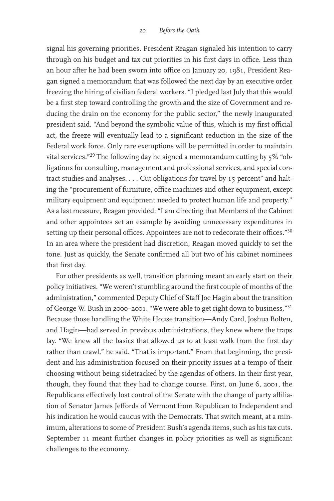signal his governing priorities. President Reagan signaled his intention to carry through on his budget and tax cut priorities in his first days in office. Less than an hour after he had been sworn into office on January 20, 1981, President Reagan signed a memorandum that was followed the next day by an executive order freezing the hiring of civilian federal workers. "I pledged last July that this would be a first step toward controlling the growth and the size of Government and reducing the drain on the economy for the public sector," the newly inaugurated president said. "And beyond the symbolic value of this, which is my first official act, the freeze will eventually lead to a significant reduction in the size of the Federal work force. Only rare exemptions will be permitted in order to maintain vital services."29 The following day he signed a memorandum cutting by 5% "obligations for consulting, management and professional services, and special contract studies and analyses. . . . Cut obligations for travel by 15 percent" and halting the "procurement of furniture, office machines and other equipment, except military equipment and equipment needed to protect human life and property." As a last measure, Reagan provided: "I am directing that Members of the Cabinet and other appointees set an example by avoiding unnecessary expenditures in setting up their personal offices. Appointees are not to redecorate their offices."<sup>30</sup> In an area where the president had discretion, Reagan moved quickly to set the tone. Just as quickly, the Senate confirmed all but two of his cabinet nominees that first day.

For other presidents as well, transition planning meant an early start on their policy initiatives. "We weren't stumbling around the first couple of months of the administration," commented Deputy Chief of Staff Joe Hagin about the transition of George W. Bush in 2000–2001. "We were able to get right down to business."31 Because those handling the White House transition—Andy Card, Joshua Bolten, and Hagin—had served in previous administrations, they knew where the traps lay. "We knew all the basics that allowed us to at least walk from the first day rather than crawl," he said. "That is important." From that beginning, the president and his administration focused on their priority issues at a tempo of their choosing without being sidetracked by the agendas of others. In their first year, though, they found that they had to change course. First, on June 6, 2001, the Republicans effectively lost control of the Senate with the change of party affiliation of Senator James Jeffords of Vermont from Republican to Independent and his indication he would caucus with the Democrats. That switch meant, at a minimum, alterations to some of President Bush's agenda items, such as his tax cuts. September 11 meant further changes in policy priorities as well as significant challenges to the economy.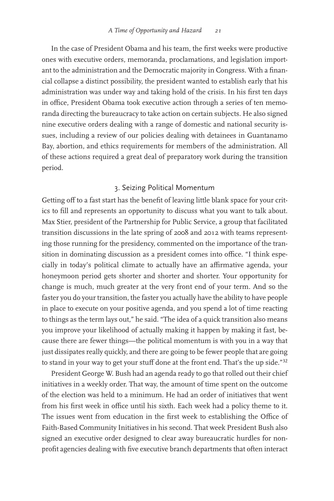In the case of President Obama and his team, the first weeks were productive ones with executive orders, memoranda, proclamations, and legislation important to the administration and the Democratic majority in Congress. With a financial collapse a distinct possibility, the president wanted to establish early that his administration was under way and taking hold of the crisis. In his first ten days in office, President Obama took executive action through a series of ten memoranda directing the bureaucracy to take action on certain subjects. He also signed nine executive orders dealing with a range of domestic and national security issues, including a review of our policies dealing with detainees in Guantanamo Bay, abortion, and ethics requirements for members of the administration. All of these actions required a great deal of preparatory work during the transition period.

#### 3. Seizing Political Momentum

Getting off to a fast start has the benefit of leaving little blank space for your critics to fill and represents an opportunity to discuss what you want to talk about. Max Stier, president of the Partnership for Public Service, a group that facilitated transition discussions in the late spring of 2008 and 2012 with teams representing those running for the presidency, commented on the importance of the transition in dominating discussion as a president comes into office. "I think especially in today's political climate to actually have an affirmative agenda, your honeymoon period gets shorter and shorter and shorter. Your opportunity for change is much, much greater at the very front end of your term. And so the faster you do your transition, the faster you actually have the ability to have people in place to execute on your positive agenda, and you spend a lot of time reacting to things as the term lays out," he said. "The idea of a quick transition also means you improve your likelihood of actually making it happen by making it fast, because there are fewer things—the political momentum is with you in a way that just dissipates really quickly, and there are going to be fewer people that are going to stand in your way to get your stuff done at the front end. That's the up side."32

President George W. Bush had an agenda ready to go that rolled out their chief initiatives in a weekly order. That way, the amount of time spent on the outcome of the election was held to a minimum. He had an order of initiatives that went from his first week in office until his sixth. Each week had a policy theme to it. The issues went from education in the first week to establishing the Office of Faith-Based Community Initiatives in his second. That week President Bush also signed an executive order designed to clear away bureaucratic hurdles for nonprofit agencies dealing with five executive branch departments that often interact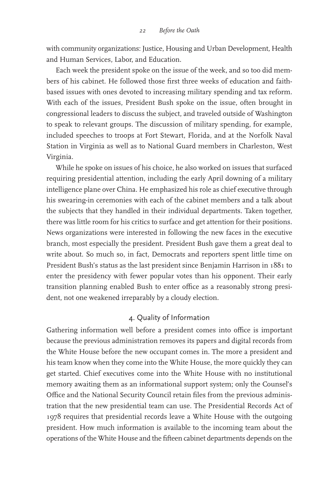with community organizations: Justice, Housing and Urban Development, Health and Human Services, Labor, and Education.

Each week the president spoke on the issue of the week, and so too did members of his cabinet. He followed those first three weeks of education and faithbased issues with ones devoted to increasing military spending and tax reform. With each of the issues, President Bush spoke on the issue, often brought in congressional leaders to discuss the subject, and traveled outside of Washington to speak to relevant groups. The discussion of military spending, for example, included speeches to troops at Fort Stewart, Florida, and at the Norfolk Naval Station in Virginia as well as to National Guard members in Charleston, West Virginia.

While he spoke on issues of his choice, he also worked on issues that surfaced requiring presidential attention, including the early April downing of a military intelligence plane over China. He emphasized his role as chief executive through his swearing-in ceremonies with each of the cabinet members and a talk about the subjects that they handled in their individual departments. Taken together, there was little room for his critics to surface and get attention for their positions. News organizations were interested in following the new faces in the executive branch, most especially the president. President Bush gave them a great deal to write about. So much so, in fact, Democrats and reporters spent little time on President Bush's status as the last president since Benjamin Harrison in 1881 to enter the presidency with fewer popular votes than his opponent. Their early transition planning enabled Bush to enter office as a reasonably strong president, not one weakened irreparably by a cloudy election.

#### 4. Quality of Information

Gathering information well before a president comes into office is important because the previous administration removes its papers and digital records from the White House before the new occupant comes in. The more a president and his team know when they come into the White House, the more quickly they can get started. Chief executives come into the White House with no institutional memory awaiting them as an informational support system; only the Counsel's Office and the National Security Council retain files from the previous administration that the new presidential team can use. The Presidential Records Act of 1978 requires that presidential records leave a White House with the outgoing president. How much information is available to the incoming team about the operations of the White House and the fifteen cabinet departments depends on the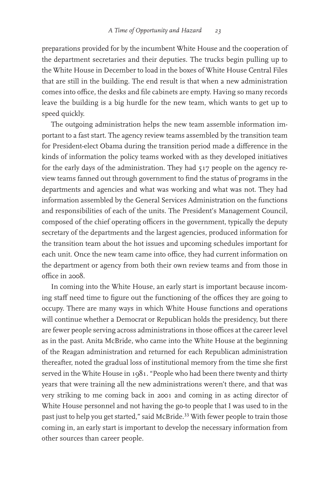preparations provided for by the incumbent White House and the cooperation of the department secretaries and their deputies. The trucks begin pulling up to the White House in December to load in the boxes of White House Central Files that are still in the building. The end result is that when a new administration comes into office, the desks and file cabinets are empty. Having so many records leave the building is a big hurdle for the new team, which wants to get up to speed quickly.

The outgoing administration helps the new team assemble information important to a fast start. The agency review teams assembled by the transition team for President-elect Obama during the transition period made a difference in the kinds of information the policy teams worked with as they developed initiatives for the early days of the administration. They had 517 people on the agency review teams fanned out through government to find the status of programs in the departments and agencies and what was working and what was not. They had information assembled by the General Services Administration on the functions and responsibilities of each of the units. The President's Management Council, composed of the chief operating officers in the government, typically the deputy secretary of the departments and the largest agencies, produced information for the transition team about the hot issues and upcoming schedules important for each unit. Once the new team came into office, they had current information on the department or agency from both their own review teams and from those in office in 2008.

In coming into the White House, an early start is important because incoming staff need time to figure out the functioning of the offices they are going to occupy. There are many ways in which White House functions and operations will continue whether a Democrat or Republican holds the presidency, but there are fewer people serving across administrations in those offices at the career level as in the past. Anita McBride, who came into the White House at the beginning of the Reagan administration and returned for each Republican administration thereafter, noted the gradual loss of institutional memory from the time she first served in the White House in 1981. "People who had been there twenty and thirty years that were training all the new administrations weren't there, and that was very striking to me coming back in 2001 and coming in as acting director of White House personnel and not having the go-to people that I was used to in the past just to help you get started," said McBride.<sup>33</sup> With fewer people to train those coming in, an early start is important to develop the necessary information from other sources than career people.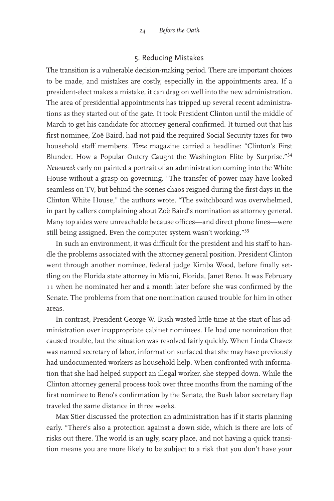#### 5. Reducing Mistakes

The transition is a vulnerable decision-making period. There are important choices to be made, and mistakes are costly, especially in the appointments area. If a president-elect makes a mistake, it can drag on well into the new administration. The area of presidential appointments has tripped up several recent administrations as they started out of the gate. It took President Clinton until the middle of March to get his candidate for attorney general confirmed. It turned out that his first nominee, Zoë Baird, had not paid the required Social Security taxes for two household staff members. *Time* magazine carried a headline: "Clinton's First Blunder: How a Popular Outcry Caught the Washington Elite by Surprise."<sup>34</sup> *Newsweek* early on painted a portrait of an administration coming into the White House without a grasp on governing. "The transfer of power may have looked seamless on TV, but behind-the-scenes chaos reigned during the first days in the Clinton White House," the authors wrote. "The switchboard was overwhelmed, in part by callers complaining about Zoë Baird's nomination as attorney general. Many top aides were unreachable because offices—and direct phone lines—were still being assigned. Even the computer system wasn't working."35

In such an environment, it was difficult for the president and his staff to handle the problems associated with the attorney general position. President Clinton went through another nominee, federal judge Kimba Wood, before finally settling on the Florida state attorney in Miami, Florida, Janet Reno. It was February 11 when he nominated her and a month later before she was confirmed by the Senate. The problems from that one nomination caused trouble for him in other areas.

In contrast, President George W. Bush wasted little time at the start of his administration over inappropriate cabinet nominees. He had one nomination that caused trouble, but the situation was resolved fairly quickly. When Linda Chavez was named secretary of labor, information surfaced that she may have previously had undocumented workers as household help. When confronted with information that she had helped support an illegal worker, she stepped down. While the Clinton attorney general process took over three months from the naming of the first nominee to Reno's confirmation by the Senate, the Bush labor secretary flap traveled the same distance in three weeks.

Max Stier discussed the protection an administration has if it starts planning early. "There's also a protection against a down side, which is there are lots of risks out there. The world is an ugly, scary place, and not having a quick transition means you are more likely to be subject to a risk that you don't have your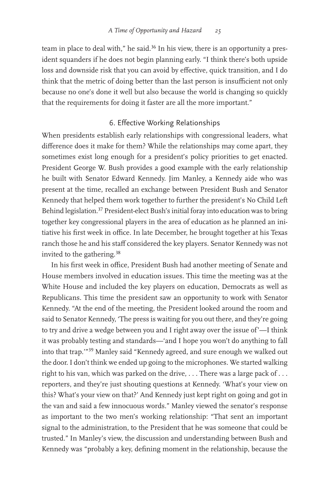team in place to deal with," he said.<sup>36</sup> In his view, there is an opportunity a president squanders if he does not begin planning early. "I think there's both upside loss and downside risk that you can avoid by effective, quick transition, and I do think that the metric of doing better than the last person is insufficient not only because no one's done it well but also because the world is changing so quickly that the requirements for doing it faster are all the more important."

#### 6. Effective Working Relationships

When presidents establish early relationships with congressional leaders, what difference does it make for them? While the relationships may come apart, they sometimes exist long enough for a president's policy priorities to get enacted. President George W. Bush provides a good example with the early relationship he built with Senator Edward Kennedy. Jim Manley, a Kennedy aide who was present at the time, recalled an exchange between President Bush and Senator Kennedy that helped them work together to further the president's No Child Left Behind legislation.37 President-elect Bush's initial foray into education was to bring together key congressional players in the area of education as he planned an initiative his first week in office. In late December, he brought together at his Texas ranch those he and his staff considered the key players. Senator Kennedy was not invited to the gathering.38

In his first week in office, President Bush had another meeting of Senate and House members involved in education issues. This time the meeting was at the White House and included the key players on education, Democrats as well as Republicans. This time the president saw an opportunity to work with Senator Kennedy. "At the end of the meeting, the President looked around the room and said to Senator Kennedy, 'The press is waiting for you out there, and they're going to try and drive a wedge between you and I right away over the issue of'—I think it was probably testing and standards—'and I hope you won't do anything to fall into that trap.'"39 Manley said "Kennedy agreed, and sure enough we walked out the door. I don't think we ended up going to the microphones. We started walking right to his van, which was parked on the drive, . . . There was a large pack of . . . reporters, and they're just shouting questions at Kennedy. 'What's your view on this? What's your view on that?' And Kennedy just kept right on going and got in the van and said a few innocuous words." Manley viewed the senator's response as important to the two men's working relationship: "That sent an important signal to the administration, to the President that he was someone that could be trusted." In Manley's view, the discussion and understanding between Bush and Kennedy was "probably a key, defining moment in the relationship, because the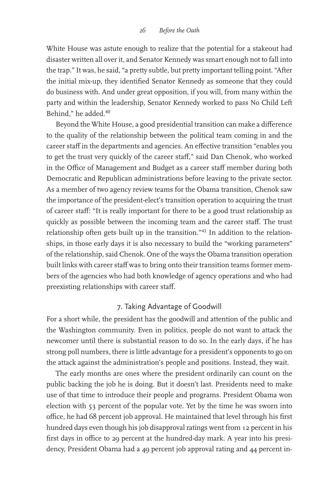White House was astute enough to realize that the potential for a stakeout had disaster written all over it, and Senator Kennedy was smart enough not to fall into the trap." It was, he said, "a pretty subtle, but pretty important telling point. "After the initial mix-up, they identified Senator Kennedy as someone that they could do business with. And under great opposition, if you will, from many within the party and within the leadership, Senator Kennedy worked to pass No Child Left Behind," he added.<sup>40</sup>

Beyond the White House, a good presidential transition can make a difference to the quality of the relationship between the political team coming in and the career staff in the departments and agencies. An effective transition "enables you to get the trust very quickly of the career staff," said Dan Chenok, who worked in the Office of Management and Budget as a career staff member during both Democratic and Republican administrations before leaving to the private sector. As a member of two agency review teams for the Obama transition, Chenok saw the importance of the president-elect's transition operation to acquiring the trust of career staff: "It is really important for there to be a good trust relationship as quickly as possible between the incoming team and the career staff. The trust relationship often gets built up in the transition."<sup>41</sup> In addition to the relationships, in those early days it is also necessary to build the "working parameters" of the relationship, said Chenok. One of the ways the Obama transition operation built links with career staff was to bring onto their transition teams former members of the agencies who had both knowledge of agency operations and who had preexisting relationships with career staff.

#### 7. Taking Advantage of Goodwill

For a short while, the president has the goodwill and attention of the public and the Washington community. Even in politics, people do not want to attack the newcomer until there is substantial reason to do so. In the early days, if he has strong poll numbers, there is little advantage for a president's opponents to go on the attack against the administration's people and positions. Instead, they wait.

The early months are ones where the president ordinarily can count on the public backing the job he is doing. But it doesn't last. Presidents need to make use of that time to introduce their people and programs. President Obama won election with 53 percent of the popular vote. Yet by the time he was sworn into office, he had 68 percent job approval. He maintained that level through his first hundred days even though his job disapproval ratings went from 12 percent in his first days in office to 29 percent at the hundred-day mark. A year into his presidency, President Obama had a 49 percent job approval rating and 44 percent in-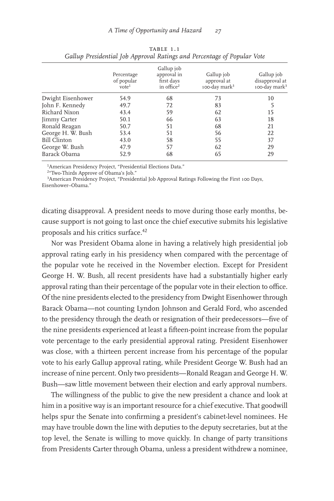|                     | Percentage<br>of popular | Gallup job<br>approval in<br>first days | Gallup job<br>approval at | Gallup job<br>disapproval at |
|---------------------|--------------------------|-----------------------------------------|---------------------------|------------------------------|
|                     | vote <sup>1</sup>        | in office <sup>2</sup>                  | 100-day mark <sup>3</sup> | 100-day mark <sup>3</sup>    |
| Dwight Eisenhower   | 54.9                     | 68                                      | 73                        | 10                           |
| John F. Kennedy     | 49.7                     | 72                                      | 83                        |                              |
| Richard Nixon       | 43.4                     | 59                                      | 62                        | 15                           |
| Jimmy Carter        | 50.1                     | 66                                      | 63                        | 18                           |
| Ronald Reagan       | 50.7                     | 51                                      | 68                        | 21                           |
| George H. W. Bush   | 53.4                     | 51                                      | 56                        | 22                           |
| <b>Bill Clinton</b> | 43.0                     | 58                                      | 55                        | 37                           |
| George W. Bush      | 47.9                     | 57                                      | 62                        | 29                           |
| Barack Obama        | 52.9                     | 68                                      | 65                        | 29                           |

TABLE 1.1 *Gallup Presidential Job Approval Ratings and Percentage of Popular Vote*

1American Presidency Project, "Presidential Elections Data."

2"Two-Thirds Approve of Obama's Job."

<sup>3</sup>American Presidency Project, "Presidential Job Approval Ratings Following the First 100 Days, Eisenhower–Obama."

dicating disapproval. A president needs to move during those early months, because support is not going to last once the chief executive submits his legislative proposals and his critics surface.42

Nor was President Obama alone in having a relatively high presidential job approval rating early in his presidency when compared with the percentage of the popular vote he received in the November election. Except for President George H. W. Bush, all recent presidents have had a substantially higher early approval rating than their percentage of the popular vote in their election to office. Of the nine presidents elected to the presidency from Dwight Eisenhower through Barack Obama—not counting Lyndon Johnson and Gerald Ford, who ascended to the presidency through the death or resignation of their predecessors—five of the nine presidents experienced at least a fifteen-point increase from the popular vote percentage to the early presidential approval rating. President Eisenhower was close, with a thirteen percent increase from his percentage of the popular vote to his early Gallup approval rating, while President George W. Bush had an increase of nine percent. Only two presidents—Ronald Reagan and George H. W. Bush—saw little movement between their election and early approval numbers.

The willingness of the public to give the new president a chance and look at him in a positive way is an important resource for a chief executive. That goodwill helps spur the Senate into confirming a president's cabinet-level nominees. He may have trouble down the line with deputies to the deputy secretaries, but at the top level, the Senate is willing to move quickly. In change of party transitions from Presidents Carter through Obama, unless a president withdrew a nominee,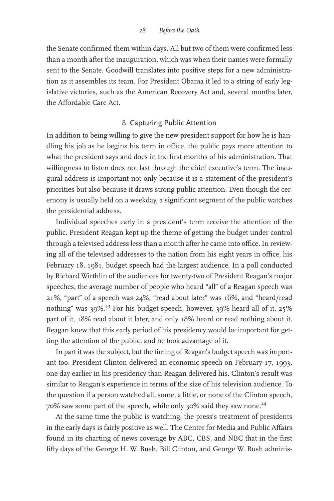the Senate confirmed them within days. All but two of them were confirmed less than a month after the inauguration, which was when their names were formally sent to the Senate. Goodwill translates into positive steps for a new administration as it assembles its team. For President Obama it led to a string of early legislative victories, such as the American Recovery Act and, several months later, the Affordable Care Act.

#### 8. Capturing Public Attention

In addition to being willing to give the new president support for how he is handling his job as he begins his term in office, the public pays more attention to what the president says and does in the first months of his administration. That willingness to listen does not last through the chief executive's term. The inaugural address is important not only because it is a statement of the president's priorities but also because it draws strong public attention. Even though the ceremony is usually held on a weekday, a significant segment of the public watches the presidential address.

Individual speeches early in a president's term receive the attention of the public. President Reagan kept up the theme of getting the budget under control through a televised address less than a month after he came into office. In reviewing all of the televised addresses to the nation from his eight years in office, his February 18, 1981, budget speech had the largest audience. In a poll conducted by Richard Wirthlin of the audiences for twenty-two of President Reagan's major speeches, the average number of people who heard "all" of a Reagan speech was 21%, "part" of a speech was 24%, "read about later" was 16%, and "heard/read nothing" was 39%.43 For his budget speech, however, 39% heard all of it, 25% part of it, 18% read about it later, and only 18% heard or read nothing about it. Reagan knew that this early period of his presidency would be important for getting the attention of the public, and he took advantage of it.

In part it was the subject, but the timing of Reagan's budget speech was important too. President Clinton delivered an economic speech on February 17, 1993, one day earlier in his presidency than Reagan delivered his. Clinton's result was similar to Reagan's experience in terms of the size of his television audience. To the question if a person watched all, some, a little, or none of the Clinton speech, 70% saw some part of the speech, while only 30% said they saw none.44

At the same time the public is watching, the press's treatment of presidents in the early days is fairly positive as well. The Center for Media and Public Affairs found in its charting of news coverage by ABC, CBS, and NBC that in the first fifty days of the George H. W. Bush, Bill Clinton, and George W. Bush adminis-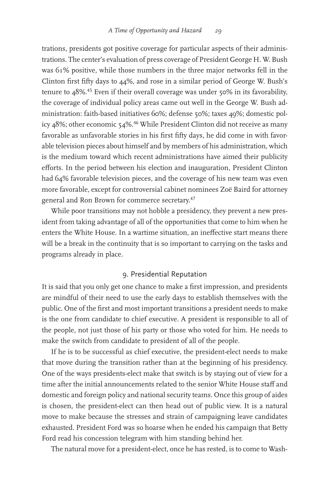trations, presidents got positive coverage for particular aspects of their administrations. The center's evaluation of press coverage of President George H. W. Bush was 61% positive, while those numbers in the three major networks fell in the Clinton first fifty days to 44%, and rose in a similar period of George W. Bush's tenure to  $48\%$ .<sup>45</sup> Even if their overall coverage was under 50% in its favorability, the coverage of individual policy areas came out well in the George W. Bush administration: faith-based initiatives 60%; defense 50%; taxes 49%; domestic policy 48%; other economic 54%.<sup>46</sup> While President Clinton did not receive as many favorable as unfavorable stories in his first fifty days, he did come in with favorable television pieces about himself and by members of his administration, which is the medium toward which recent administrations have aimed their publicity efforts. In the period between his election and inauguration, President Clinton had 64% favorable television pieces, and the coverage of his new team was even more favorable, except for controversial cabinet nominees Zoë Baird for attorney general and Ron Brown for commerce secretary.<sup>47</sup>

While poor transitions may not hobble a presidency, they prevent a new president from taking advantage of all of the opportunities that come to him when he enters the White House. In a wartime situation, an ineffective start means there will be a break in the continuity that is so important to carrying on the tasks and programs already in place.

#### 9. Presidential Reputation

It is said that you only get one chance to make a first impression, and presidents are mindful of their need to use the early days to establish themselves with the public. One of the first and most important transitions a president needs to make is the one from candidate to chief executive. A president is responsible to all of the people, not just those of his party or those who voted for him. He needs to make the switch from candidate to president of all of the people.

If he is to be successful as chief executive, the president-elect needs to make that move during the transition rather than at the beginning of his presidency. One of the ways presidents-elect make that switch is by staying out of view for a time after the initial announcements related to the senior White House staff and domestic and foreign policy and national security teams. Once this group of aides is chosen, the president-elect can then head out of public view. It is a natural move to make because the stresses and strain of campaigning leave candidates exhausted. President Ford was so hoarse when he ended his campaign that Betty Ford read his concession telegram with him standing behind her.

The natural move for a president-elect, once he has rested, is to come to Wash-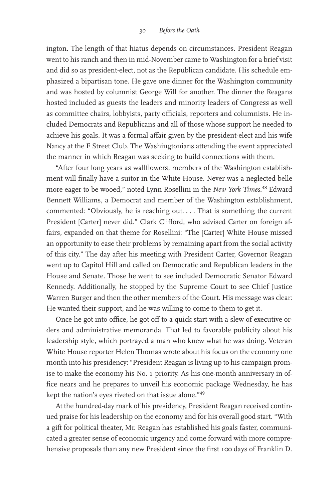ington. The length of that hiatus depends on circumstances. President Reagan went to his ranch and then in mid-November came to Washington for a brief visit and did so as president-elect, not as the Republican candidate. His schedule emphasized a bipartisan tone. He gave one dinner for the Washington community and was hosted by columnist George Will for another. The dinner the Reagans hosted included as guests the leaders and minority leaders of Congress as well as committee chairs, lobbyists, party officials, reporters and columnists. He included Democrats and Republicans and all of those whose support he needed to achieve his goals. It was a formal affair given by the president-elect and his wife Nancy at the F Street Club. The Washingtonians attending the event appreciated the manner in which Reagan was seeking to build connections with them.

"After four long years as wallflowers, members of the Washington establishment will finally have a suitor in the White House. Never was a neglected belle more eager to be wooed," noted Lynn Rosellini in the *New York Times*. 48 Edward Bennett Williams, a Democrat and member of the Washington establishment, commented: "Obviously, he is reaching out. . . . That is something the current President [Carter] never did." Clark Clifford, who advised Carter on foreign affairs, expanded on that theme for Rosellini: "The [Carter] White House missed an opportunity to ease their problems by remaining apart from the social activity of this city." The day after his meeting with President Carter, Governor Reagan went up to Capitol Hill and called on Democratic and Republican leaders in the House and Senate. Those he went to see included Democratic Senator Edward Kennedy. Additionally, he stopped by the Supreme Court to see Chief Justice Warren Burger and then the other members of the Court. His message was clear: He wanted their support, and he was willing to come to them to get it.

Once he got into office, he got off to a quick start with a slew of executive orders and administrative memoranda. That led to favorable publicity about his leadership style, which portrayed a man who knew what he was doing. Veteran White House reporter Helen Thomas wrote about his focus on the economy one month into his presidency: "President Reagan is living up to his campaign promise to make the economy his No. 1 priority. As his one-month anniversary in office nears and he prepares to unveil his economic package Wednesday, he has kept the nation's eyes riveted on that issue alone."49

At the hundred-day mark of his presidency, President Reagan received continued praise for his leadership on the economy and for his overall good start. "With a gift for political theater, Mr. Reagan has established his goals faster, communicated a greater sense of economic urgency and come forward with more comprehensive proposals than any new President since the first 100 days of Franklin D.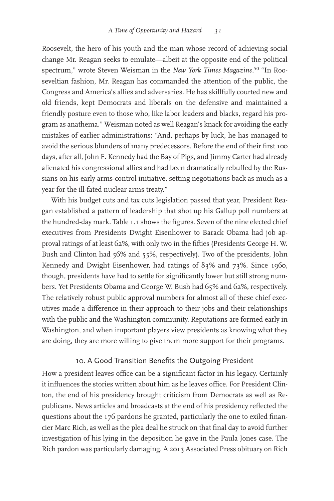Roosevelt, the hero of his youth and the man whose record of achieving social change Mr. Reagan seeks to emulate—albeit at the opposite end of the political spectrum," wrote Steven Weisman in the *New York Times Magazine*. 50 "In Rooseveltian fashion, Mr. Reagan has commanded the attention of the public, the Congress and America's allies and adversaries. He has skillfully courted new and old friends, kept Democrats and liberals on the defensive and maintained a friendly posture even to those who, like labor leaders and blacks, regard his program as anathema." Weisman noted as well Reagan's knack for avoiding the early mistakes of earlier administrations: "And, perhaps by luck, he has managed to avoid the serious blunders of many predecessors. Before the end of their first 100 days, after all, John F. Kennedy had the Bay of Pigs, and Jimmy Carter had already alienated his congressional allies and had been dramatically rebuffed by the Russians on his early arms-control initiative, setting negotiations back as much as a year for the ill-fated nuclear arms treaty."

With his budget cuts and tax cuts legislation passed that year, President Reagan established a pattern of leadership that shot up his Gallup poll numbers at the hundred-day mark. Table 1.1 shows the figures. Seven of the nine elected chief executives from Presidents Dwight Eisenhower to Barack Obama had job approval ratings of at least 62%, with only two in the fifties (Presidents George H. W. Bush and Clinton had 56% and 55%, respectively). Two of the presidents, John Kennedy and Dwight Eisenhower, had ratings of 83% and 73%. Since 1960, though, presidents have had to settle for significantly lower but still strong numbers. Yet Presidents Obama and George W. Bush had 65% and 62%, respectively. The relatively robust public approval numbers for almost all of these chief executives made a difference in their approach to their jobs and their relationships with the public and the Washington community. Reputations are formed early in Washington, and when important players view presidents as knowing what they are doing, they are more willing to give them more support for their programs.

#### 10. A Good Transition Benefits the Outgoing President

How a president leaves office can be a significant factor in his legacy. Certainly it influences the stories written about him as he leaves office. For President Clinton, the end of his presidency brought criticism from Democrats as well as Republicans. News articles and broadcasts at the end of his presidency reflected the questions about the 176 pardons he granted, particularly the one to exiled financier Marc Rich, as well as the plea deal he struck on that final day to avoid further investigation of his lying in the deposition he gave in the Paula Jones case. The Rich pardon was particularly damaging. A 2013 Associated Press obituary on Rich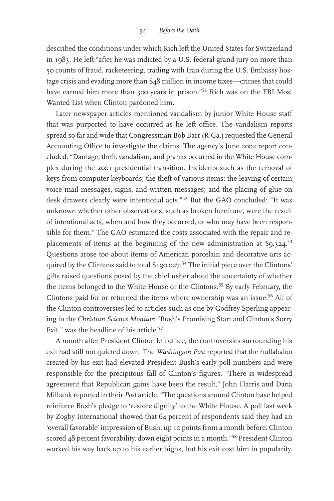described the conditions under which Rich left the United States for Switzerland in 1983. He left "after he was indicted by a U.S. federal grand jury on more than 50 counts of fraud, racketeering, trading with Iran during the U.S. Embassy hostage crisis and evading more than \$48 million in income taxes—crimes that could have earned him more than 300 years in prison."51 Rich was on the FBI Most Wanted List when Clinton pardoned him.

Later newspaper articles mentioned vandalism by junior White House staff that was purported to have occurred as he left office. The vandalism reports spread so far and wide that Congressman Bob Barr (R-Ga.) requested the General Accounting Office to investigate the claims. The agency's June 2002 report concluded: "Damage, theft, vandalism, and pranks occurred in the White House complex during the 2001 presidential transition. Incidents such as the removal of keys from computer keyboards; the theft of various items; the leaving of certain voice mail messages, signs, and written messages; and the placing of glue on desk drawers clearly were intentional acts."52 But the GAO concluded: "It was unknown whether other observations, such as broken furniture, were the result of intentional acts, when and how they occurred, or who may have been responsible for them." The GAO estimated the costs associated with the repair and replacements of items at the beginning of the new administration at \$9,324.<sup>53</sup> Questions arose too about items of American porcelain and decorative arts acquired by the Clintons said to total  $$190,027$ .<sup>54</sup> The initial piece over the Clintons' gifts raised questions posed by the chief usher about the uncertainty of whether the items belonged to the White House or the Clintons.<sup>55</sup> By early February, the Clintons paid for or returned the items where ownership was an issue.<sup>56</sup> All of the Clinton controversies led to articles such as one by Godfrey Sperling appearing in the *Christian Science Monitor*: "Bush's Promising Start and Clinton's Sorry Exit," was the headline of his article.<sup>57</sup>

A month after President Clinton left office, the controversies surrounding his exit had still not quieted down. The *Washington Post* reported that the hullabaloo created by his exit had elevated President Bush's early poll numbers and were responsible for the precipitous fall of Clinton's figures. "There is widespread agreement that Republican gains have been the result," John Harris and Dana Milbank reported in their *Post* article. "The questions around Clinton have helped reinforce Bush's pledge to 'restore dignity' to the White House. A poll last week by Zogby International showed that 64 percent of respondents said they had an 'overall favorable' impression of Bush, up 10 points from a month before. Clinton scored 48 percent favorability, down eight points in a month."58 President Clinton worked his way back up to his earlier highs, but his exit cost him in popularity.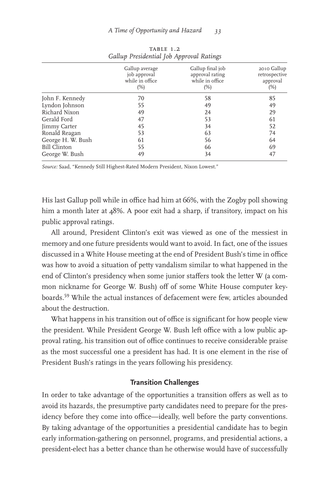| $\cdot$                                                     | <b>LL</b><br>$\epsilon$                                          |                                                    |
|-------------------------------------------------------------|------------------------------------------------------------------|----------------------------------------------------|
| Gallup average<br>job approval<br>while in office<br>$(\%)$ | Gallup final job<br>approval rating<br>while in office<br>$(\%)$ | 2010 Gallup<br>retrospective<br>approval<br>$(\%)$ |
| 70                                                          | 58                                                               | 85                                                 |
| 55                                                          | 49                                                               | 49                                                 |
| 49                                                          | 24                                                               | 29                                                 |
| 47                                                          | 53                                                               | 61                                                 |
| 45                                                          | 34                                                               | 52                                                 |
| 53                                                          | 63                                                               | 74                                                 |
| 61                                                          | 56                                                               | 64                                                 |
| 55                                                          | 66                                                               | 69                                                 |
| 49                                                          | 34                                                               | 47                                                 |
|                                                             |                                                                  |                                                    |

TABLE 1.2 *Gallup Presidential Job Approval Ratings*

*Source:* Saad, "Kennedy Still Highest-Rated Modern President, Nixon Lowest."

His last Gallup poll while in office had him at 66%, with the Zogby poll showing him a month later at 48%. A poor exit had a sharp, if transitory, impact on his public approval ratings.

All around, President Clinton's exit was viewed as one of the messiest in memory and one future presidents would want to avoid. In fact, one of the issues discussed in a White House meeting at the end of President Bush's time in office was how to avoid a situation of petty vandalism similar to what happened in the end of Clinton's presidency when some junior staffers took the letter W (a common nickname for George W. Bush) off of some White House computer keyboards.59 While the actual instances of defacement were few, articles abounded about the destruction.

What happens in his transition out of office is significant for how people view the president. While President George W. Bush left office with a low public approval rating, his transition out of office continues to receive considerable praise as the most successful one a president has had. It is one element in the rise of President Bush's ratings in the years following his presidency.

#### **Transition Challenges**

In order to take advantage of the opportunities a transition offers as well as to avoid its hazards, the presumptive party candidates need to prepare for the presidency before they come into office—ideally, well before the party conventions. By taking advantage of the opportunities a presidential candidate has to begin early information-gathering on personnel, programs, and presidential actions, a president-elect has a better chance than he otherwise would have of successfully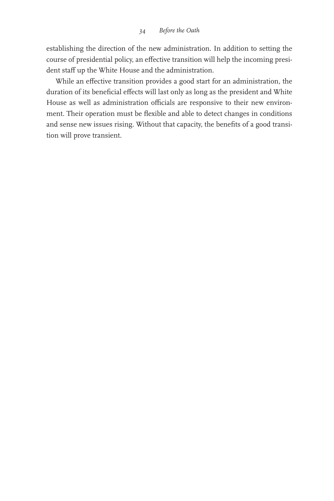establishing the direction of the new administration. In addition to setting the course of presidential policy, an effective transition will help the incoming president staff up the White House and the administration.

While an effective transition provides a good start for an administration, the duration of its beneficial effects will last only as long as the president and White House as well as administration officials are responsive to their new environment. Their operation must be flexible and able to detect changes in conditions and sense new issues rising. Without that capacity, the benefits of a good transition will prove transient.